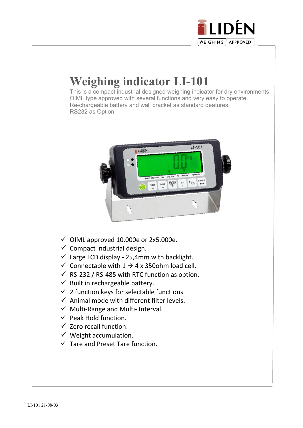

# **Weighing indicator LI-101**

 This is a compact industrial designed weighing indicator for dry environments. OIML type approved with several functions and very easy to operate. Re-chargeable battery and wall bracket as standard deatures. RS232 as Option.



- $\checkmark$  OIML approved 10.000e or 2x5.000e.
- $\checkmark$  Compact industrial design.
- $\checkmark$  Large LCD display 25,4mm with backlight.
- $\checkmark$  Connectable with 1  $\to$  4 x 350ohm load cell.
- $\checkmark$  RS-232 / RS-485 with RTC function as option.
- $\checkmark$  Built in rechargeable battery.
- $\checkmark$  2 function keys for selectable functions.
- $\checkmark$  Animal mode with different filter levels.
- $\checkmark$  Multi-Range and Multi- Interval.
- $\checkmark$  Peak Hold function.
- $\checkmark$  Zero recall function.
- $\checkmark$  Weight accumulation.
- $\checkmark$  Tare and Preset Tare function.